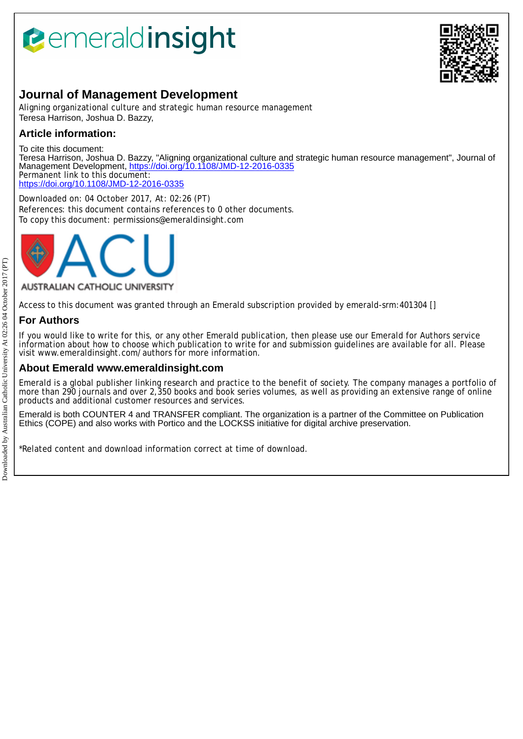# *<u><b>eemeraldinsight</u>*



# **Journal of Management Development**

Aligning organizational culture and strategic human resource management Teresa Harrison, Joshua D. Bazzy,

# **Article information:**

To cite this document: Teresa Harrison, Joshua D. Bazzy, "Aligning organizational culture and strategic human resource management", Journal of Management Development,<https://doi.org/10.1108/JMD-12-2016-0335> Permanent link to this document: <https://doi.org/10.1108/JMD-12-2016-0335>

Downloaded on: 04 October 2017, At: 02:26 (PT) References: this document contains references to 0 other documents. To copy this document: permissions@emeraldinsight.com



#### AUSTRALIAN CATHOLIC UNIVERSITY

Access to this document was granted through an Emerald subscription provided by emerald-srm:401304 []

# **For Authors**

If you would like to write for this, or any other Emerald publication, then please use our Emerald for Authors service information about how to choose which publication to write for and submission guidelines are available for all. Please visit www.emeraldinsight.com/authors for more information.

## **About Emerald www.emeraldinsight.com**

Emerald is a global publisher linking research and practice to the benefit of society. The company manages a portfolio of more than 290 journals and over 2,350 books and book series volumes, as well as providing an extensive range of online products and additional customer resources and services.

Emerald is both COUNTER 4 and TRANSFER compliant. The organization is a partner of the Committee on Publication Ethics (COPE) and also works with Portico and the LOCKSS initiative for digital archive preservation.

\*Related content and download information correct at time of download.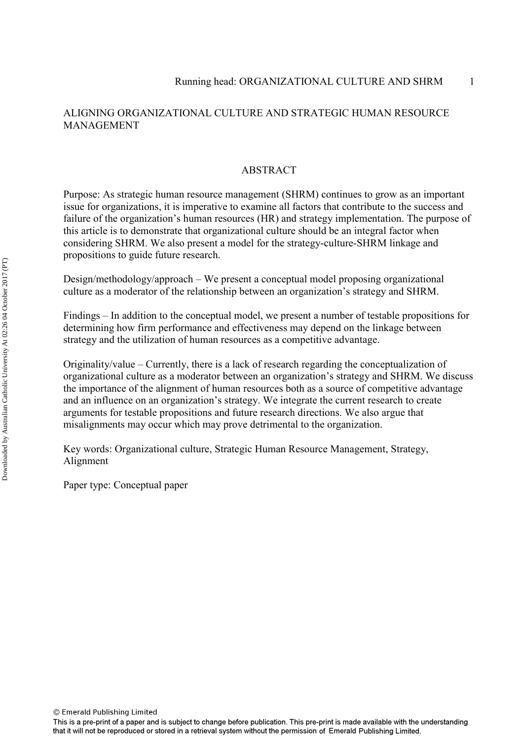### ALIGNING ORGANIZATIONAL CULTURE AND STRATEGIC HUMAN RESOURCE MANAGEMENT

#### **ABSTRACT**

Purpose: As strategic human resource management (SHRM) continues to grow as an important issue for organizations, it is imperative to examine all factors that contribute to the success and failure of the organization's human resources (HR) and strategy implementation. The purpose of this article is to demonstrate that organizational culture should be an integral factor when considering SHRM. We also present a model for the strategy-culture-SHRM linkage and propositions to guide future research.

Design/methodology/approach – We present a conceptual model proposing organizational culture as a moderator of the relationship between an organization's strategy and SHRM.

Findings – In addition to the conceptual model, we present a number of testable propositions for determining how firm performance and effectiveness may depend on the linkage between strategy and the utilization of human resources as a competitive advantage.

Originality/value – Currently, there is a lack of research regarding the conceptualization of organizational culture as a moderator between an organization's strategy and SHRM. We discuss the importance of the alignment of human resources both as a source of competitive advantage and an influence on an organization's strategy. We integrate the current research to create arguments for testable propositions and future research directions. We also argue that misalignments may occur which may prove detrimental to the organization.

Key words: Organizational culture, Strategic Human Resource Management, Strategy, Alignment

Paper type: Conceptual paper

This is a pre-print of a paper and is subject to change before publication. This pre-print is made available with the understanding that it will not be reproduced or stored in a retrieval system without the permission of Emerald Publishing Limited.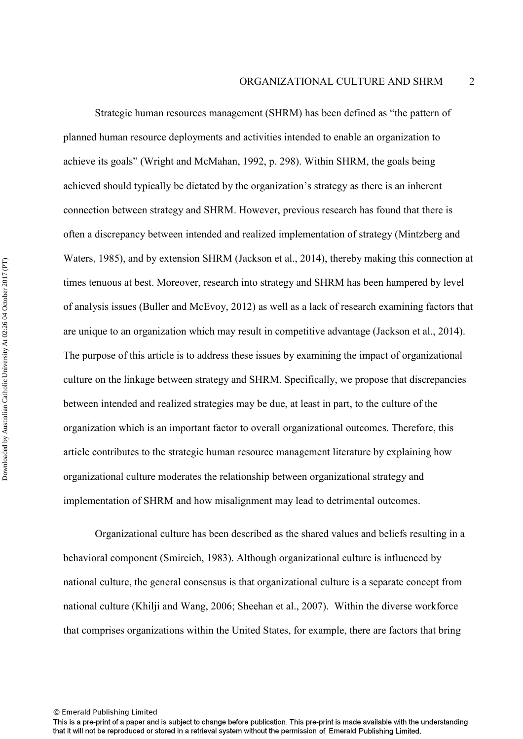Strategic human resources management (SHRM) has been defined as "the pattern of planned human resource deployments and activities intended to enable an organization to achieve its goals" (Wright and McMahan, 1992, p. 298). Within SHRM, the goals being achieved should typically be dictated by the organization's strategy as there is an inherent connection between strategy and SHRM. However, previous research has found that there is often a discrepancy between intended and realized implementation of strategy (Mintzberg and Waters, 1985), and by extension SHRM (Jackson et al., 2014), thereby making this connection at times tenuous at best. Moreover, research into strategy and SHRM has been hampered by level of analysis issues (Buller and McEvoy, 2012) as well as a lack of research examining factors that are unique to an organization which may result in competitive advantage (Jackson et al., 2014). The purpose of this article is to address these issues by examining the impact of organizational culture on the linkage between strategy and SHRM. Specifically, we propose that discrepancies between intended and realized strategies may be due, at least in part, to the culture of the organization which is an important factor to overall organizational outcomes. Therefore, this article contributes to the strategic human resource management literature by explaining how organizational culture moderates the relationship between organizational strategy and implementation of SHRM and how misalignment may lead to detrimental outcomes.

Organizational culture has been described as the shared values and beliefs resulting in a behavioral component (Smircich, 1983). Although organizational culture is influenced by national culture, the general consensus is that organizational culture is a separate concept from national culture (Khilji and Wang, 2006; Sheehan et al., 2007). Within the diverse workforce that comprises organizations within the United States, for example, there are factors that bring

<sup>©</sup> Emerald Publishing Limited

This is a pre-print of a paper and is subject to change before publication. This pre-print is made available with the understanding that it will not be reproduced or stored in a retrieval system without the permission of Emerald Publishing Limited.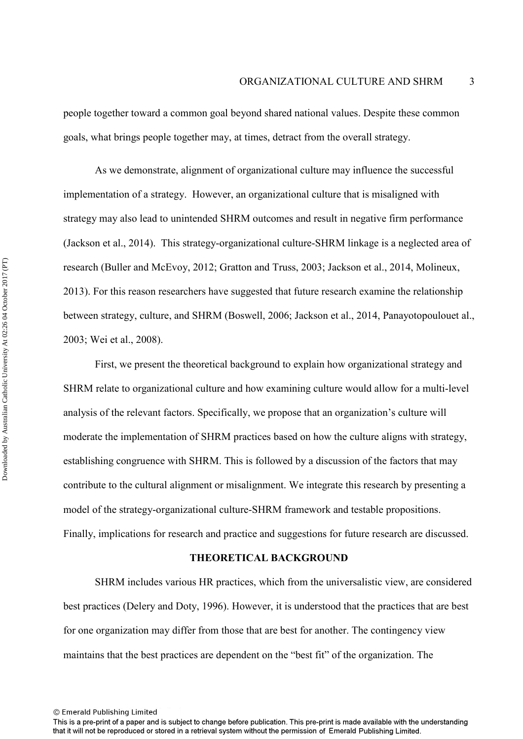people together toward a common goal beyond shared national values. Despite these common goals, what brings people together may, at times, detract from the overall strategy.

As we demonstrate, alignment of organizational culture may influence the successful implementation of a strategy. However, an organizational culture that is misaligned with strategy may also lead to unintended SHRM outcomes and result in negative firm performance (Jackson et al., 2014). This strategy-organizational culture-SHRM linkage is a neglected area of research (Buller and McEvoy, 2012; Gratton and Truss, 2003; Jackson et al., 2014, Molineux, 2013). For this reason researchers have suggested that future research examine the relationship between strategy, culture, and SHRM (Boswell, 2006; Jackson et al., 2014, Panayotopoulouet al., 2003; Wei et al., 2008).

First, we present the theoretical background to explain how organizational strategy and SHRM relate to organizational culture and how examining culture would allow for a multi-level analysis of the relevant factors. Specifically, we propose that an organization's culture will moderate the implementation of SHRM practices based on how the culture aligns with strategy, establishing congruence with SHRM. This is followed by a discussion of the factors that may contribute to the cultural alignment or misalignment. We integrate this research by presenting a model of the strategy-organizational culture-SHRM framework and testable propositions. Finally, implications for research and practice and suggestions for future research are discussed.

#### **THEORETICAL BACKGROUND**

SHRM includes various HR practices, which from the universalistic view, are considered best practices (Delery and Doty, 1996). However, it is understood that the practices that are best for one organization may differ from those that are best for another. The contingency view maintains that the best practices are dependent on the "best fit" of the organization. The

<sup>©</sup> Emerald Publishing Limited

This is a pre-print of a paper and is subject to change before publication. This pre-print is made available with the understanding that it will not be reproduced or stored in a retrieval system without the permission of Emerald Publishing Limited.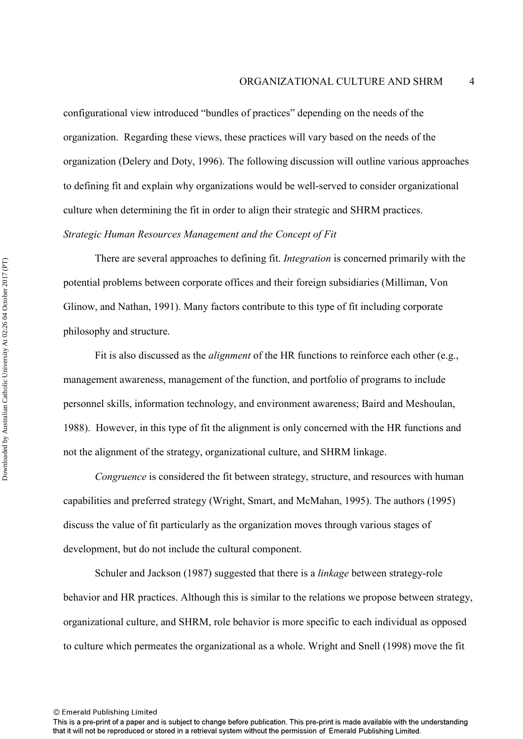configurational view introduced "bundles of practices" depending on the needs of the organization. Regarding these views, these practices will vary based on the needs of the organization (Delery and Doty, 1996). The following discussion will outline various approaches to defining fit and explain why organizations would be well-served to consider organizational culture when determining the fit in order to align their strategic and SHRM practices. *Strategic Human Resources Management and the Concept of Fit* 

There are several approaches to defining fit. *Integration* is concerned primarily with the potential problems between corporate offices and their foreign subsidiaries (Milliman, Von Glinow, and Nathan, 1991). Many factors contribute to this type of fit including corporate philosophy and structure.

Fit is also discussed as the *alignment* of the HR functions to reinforce each other (e.g., management awareness, management of the function, and portfolio of programs to include personnel skills, information technology, and environment awareness; Baird and Meshoulan, 1988). However, in this type of fit the alignment is only concerned with the HR functions and not the alignment of the strategy, organizational culture, and SHRM linkage.

*Congruence* is considered the fit between strategy, structure, and resources with human capabilities and preferred strategy (Wright, Smart, and McMahan, 1995). The authors (1995) discuss the value of fit particularly as the organization moves through various stages of development, but do not include the cultural component.

 Schuler and Jackson (1987) suggested that there is a *linkage* between strategy-role behavior and HR practices. Although this is similar to the relations we propose between strategy, organizational culture, and SHRM, role behavior is more specific to each individual as opposed to culture which permeates the organizational as a whole. Wright and Snell (1998) move the fit

<sup>©</sup> Emerald Publishing Limited

This is a pre-print of a paper and is subject to change before publication. This pre-print is made available with the understanding that it will not be reproduced or stored in a retrieval system without the permission of Emerald Publishing Limited.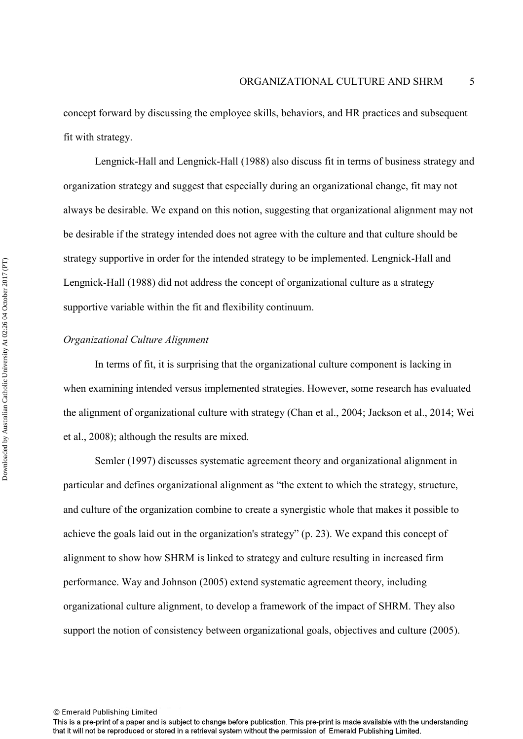concept forward by discussing the employee skills, behaviors, and HR practices and subsequent fit with strategy.

 Lengnick-Hall and Lengnick-Hall (1988) also discuss fit in terms of business strategy and organization strategy and suggest that especially during an organizational change, fit may not always be desirable. We expand on this notion, suggesting that organizational alignment may not be desirable if the strategy intended does not agree with the culture and that culture should be strategy supportive in order for the intended strategy to be implemented. Lengnick-Hall and Lengnick-Hall (1988) did not address the concept of organizational culture as a strategy supportive variable within the fit and flexibility continuum.

#### *Organizational Culture Alignment*

In terms of fit, it is surprising that the organizational culture component is lacking in when examining intended versus implemented strategies. However, some research has evaluated the alignment of organizational culture with strategy (Chan et al., 2004; Jackson et al., 2014; Wei et al., 2008); although the results are mixed.

Semler (1997) discusses systematic agreement theory and organizational alignment in particular and defines organizational alignment as "the extent to which the strategy, structure, and culture of the organization combine to create a synergistic whole that makes it possible to achieve the goals laid out in the organization's strategy" (p. 23). We expand this concept of alignment to show how SHRM is linked to strategy and culture resulting in increased firm performance. Way and Johnson (2005) extend systematic agreement theory, including organizational culture alignment, to develop a framework of the impact of SHRM. They also support the notion of consistency between organizational goals, objectives and culture (2005).

<sup>©</sup> Emerald Publishing Limited

This is a pre-print of a paper and is subject to change before publication. This pre-print is made available with the understanding that it will not be reproduced or stored in a retrieval system without the permission of Emerald Publishing Limited.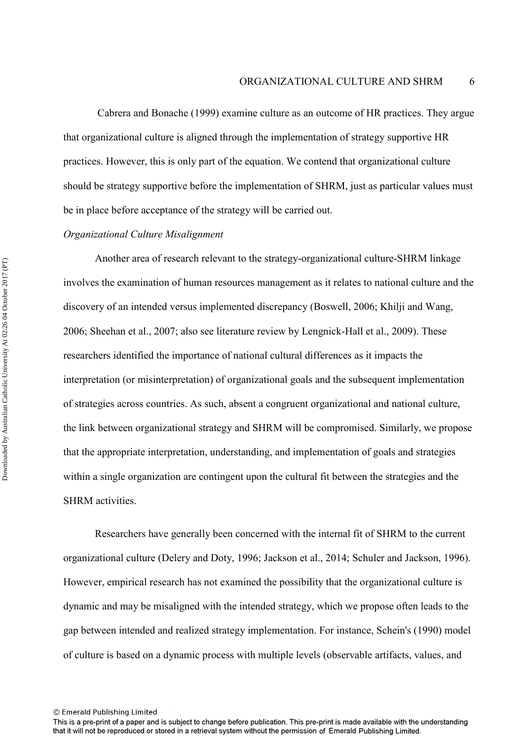Cabrera and Bonache (1999) examine culture as an outcome of HR practices. They argue that organizational culture is aligned through the implementation of strategy supportive HR practices. However, this is only part of the equation. We contend that organizational culture should be strategy supportive before the implementation of SHRM, just as particular values must be in place before acceptance of the strategy will be carried out.

#### *Organizational Culture Misalignment*

Another area of research relevant to the strategy-organizational culture-SHRM linkage involves the examination of human resources management as it relates to national culture and the discovery of an intended versus implemented discrepancy (Boswell, 2006; Khilji and Wang, 2006; Sheehan et al., 2007; also see literature review by Lengnick-Hall et al., 2009). These researchers identified the importance of national cultural differences as it impacts the interpretation (or misinterpretation) of organizational goals and the subsequent implementation of strategies across countries. As such, absent a congruent organizational and national culture, the link between organizational strategy and SHRM will be compromised. Similarly, we propose that the appropriate interpretation, understanding, and implementation of goals and strategies within a single organization are contingent upon the cultural fit between the strategies and the SHRM activities.

Researchers have generally been concerned with the internal fit of SHRM to the current organizational culture (Delery and Doty, 1996; Jackson et al., 2014; Schuler and Jackson, 1996). However, empirical research has not examined the possibility that the organizational culture is dynamic and may be misaligned with the intended strategy, which we propose often leads to the gap between intended and realized strategy implementation. For instance, Schein's (1990) model of culture is based on a dynamic process with multiple levels (observable artifacts, values, and

<sup>©</sup> Emerald Publishing Limited

This is a pre-print of a paper and is subject to change before publication. This pre-print is made available with the understanding that it will not be reproduced or stored in a retrieval system without the permission of Emerald Publishing Limited.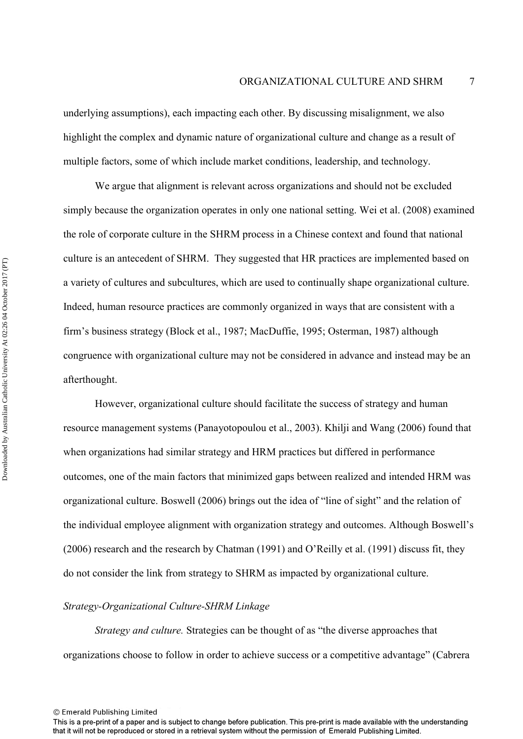underlying assumptions), each impacting each other. By discussing misalignment, we also highlight the complex and dynamic nature of organizational culture and change as a result of multiple factors, some of which include market conditions, leadership, and technology.

We argue that alignment is relevant across organizations and should not be excluded simply because the organization operates in only one national setting. Wei et al. (2008) examined the role of corporate culture in the SHRM process in a Chinese context and found that national culture is an antecedent of SHRM. They suggested that HR practices are implemented based on a variety of cultures and subcultures, which are used to continually shape organizational culture. Indeed, human resource practices are commonly organized in ways that are consistent with a firm's business strategy (Block et al., 1987; MacDuffie, 1995; Osterman, 1987) although congruence with organizational culture may not be considered in advance and instead may be an afterthought.

However, organizational culture should facilitate the success of strategy and human resource management systems (Panayotopoulou et al., 2003). Khilji and Wang (2006) found that when organizations had similar strategy and HRM practices but differed in performance outcomes, one of the main factors that minimized gaps between realized and intended HRM was organizational culture. Boswell (2006) brings out the idea of "line of sight" and the relation of the individual employee alignment with organization strategy and outcomes. Although Boswell's (2006) research and the research by Chatman (1991) and O'Reilly et al. (1991) discuss fit, they do not consider the link from strategy to SHRM as impacted by organizational culture.

#### *Strategy-Organizational Culture-SHRM Linkage*

*Strategy and culture.* Strategies can be thought of as "the diverse approaches that organizations choose to follow in order to achieve success or a competitive advantage" (Cabrera

This is a pre-print of a paper and is subject to change before publication. This pre-print is made available with the understanding that it will not be reproduced or stored in a retrieval system without the permission of Emerald Publishing Limited.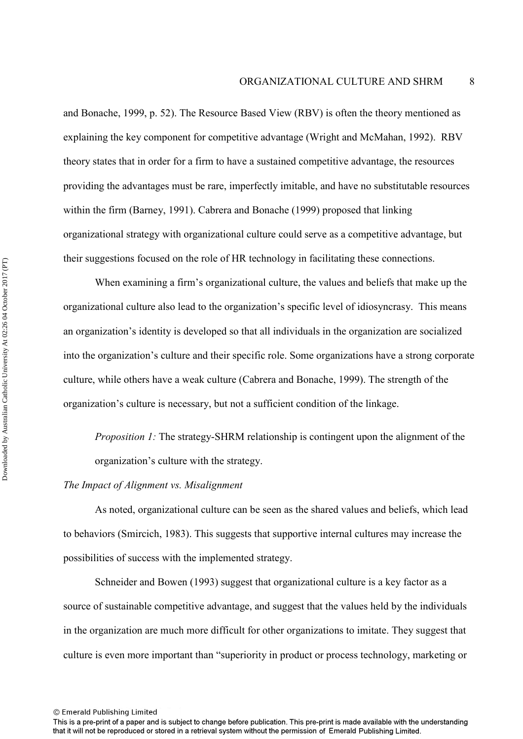and Bonache, 1999, p. 52). The Resource Based View (RBV) is often the theory mentioned as explaining the key component for competitive advantage (Wright and McMahan, 1992). RBV theory states that in order for a firm to have a sustained competitive advantage, the resources providing the advantages must be rare, imperfectly imitable, and have no substitutable resources within the firm (Barney, 1991). Cabrera and Bonache (1999) proposed that linking organizational strategy with organizational culture could serve as a competitive advantage, but their suggestions focused on the role of HR technology in facilitating these connections.

When examining a firm's organizational culture, the values and beliefs that make up the organizational culture also lead to the organization's specific level of idiosyncrasy. This means an organization's identity is developed so that all individuals in the organization are socialized into the organization's culture and their specific role. Some organizations have a strong corporate culture, while others have a weak culture (Cabrera and Bonache, 1999). The strength of the organization's culture is necessary, but not a sufficient condition of the linkage.

*Proposition 1:* The strategy-SHRM relationship is contingent upon the alignment of the organization's culture with the strategy.

#### *The Impact of Alignment vs. Misalignment*

As noted, organizational culture can be seen as the shared values and beliefs, which lead to behaviors (Smircich, 1983). This suggests that supportive internal cultures may increase the possibilities of success with the implemented strategy.

Schneider and Bowen (1993) suggest that organizational culture is a key factor as a source of sustainable competitive advantage, and suggest that the values held by the individuals in the organization are much more difficult for other organizations to imitate. They suggest that culture is even more important than "superiority in product or process technology, marketing or

This is a pre-print of a paper and is subject to change before publication. This pre-print is made available with the understanding that it will not be reproduced or stored in a retrieval system without the permission of Emerald Publishing Limited.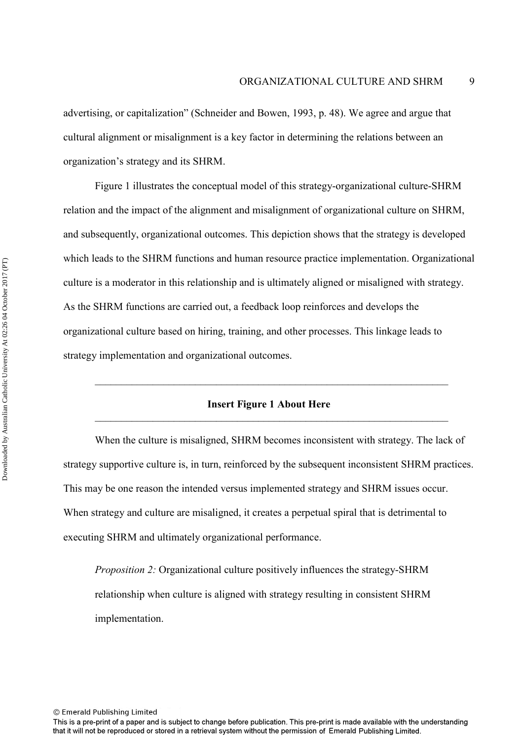advertising, or capitalization" (Schneider and Bowen, 1993, p. 48). We agree and argue that cultural alignment or misalignment is a key factor in determining the relations between an organization's strategy and its SHRM.

Figure 1 illustrates the conceptual model of this strategy-organizational culture-SHRM relation and the impact of the alignment and misalignment of organizational culture on SHRM, and subsequently, organizational outcomes. This depiction shows that the strategy is developed which leads to the SHRM functions and human resource practice implementation. Organizational culture is a moderator in this relationship and is ultimately aligned or misaligned with strategy. As the SHRM functions are carried out, a feedback loop reinforces and develops the organizational culture based on hiring, training, and other processes. This linkage leads to strategy implementation and organizational outcomes.

#### **Insert Figure 1 About Here**   $\mathcal{L}_\text{G}$  , and the contribution of the contribution of the contribution of the contribution of the contribution of the contribution of the contribution of the contribution of the contribution of the contribution of t

 $\mathcal{L}_\text{G}$  , and the contribution of the contribution of the contribution of the contribution of the contribution of the contribution of the contribution of the contribution of the contribution of the contribution of t

When the culture is misaligned, SHRM becomes inconsistent with strategy. The lack of strategy supportive culture is, in turn, reinforced by the subsequent inconsistent SHRM practices. This may be one reason the intended versus implemented strategy and SHRM issues occur. When strategy and culture are misaligned, it creates a perpetual spiral that is detrimental to executing SHRM and ultimately organizational performance.

*Proposition 2:* Organizational culture positively influences the strategy-SHRM relationship when culture is aligned with strategy resulting in consistent SHRM implementation.

This is a pre-print of a paper and is subject to change before publication. This pre-print is made available with the understanding that it will not be reproduced or stored in a retrieval system without the permission of Emerald Publishing Limited.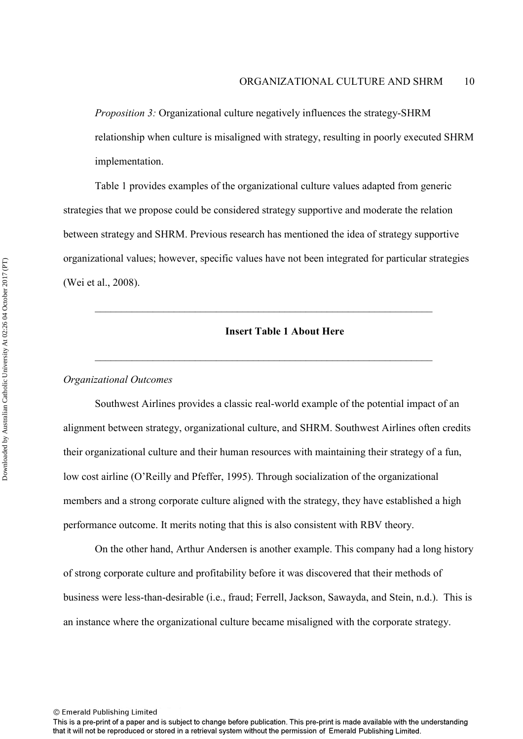*Proposition 3:* Organizational culture negatively influences the strategy-SHRM relationship when culture is misaligned with strategy, resulting in poorly executed SHRM implementation.

Table 1 provides examples of the organizational culture values adapted from generic strategies that we propose could be considered strategy supportive and moderate the relation between strategy and SHRM. Previous research has mentioned the idea of strategy supportive organizational values; however, specific values have not been integrated for particular strategies (Wei et al., 2008).

\_\_\_\_\_\_\_\_\_\_\_\_\_\_\_\_\_\_\_\_\_\_\_\_\_\_\_\_\_\_\_\_\_\_\_\_\_\_\_\_\_\_\_\_\_\_\_\_\_\_\_\_\_\_\_\_\_\_\_\_\_\_\_\_

\_\_\_\_\_\_\_\_\_\_\_\_\_\_\_\_\_\_\_\_\_\_\_\_\_\_\_\_\_\_\_\_\_\_\_\_\_\_\_\_\_\_\_\_\_\_\_\_\_\_\_\_\_\_\_\_\_\_\_\_\_\_\_\_

#### **Insert Table 1 About Here**

#### *Organizational Outcomes*

Southwest Airlines provides a classic real-world example of the potential impact of an alignment between strategy, organizational culture, and SHRM. Southwest Airlines often credits their organizational culture and their human resources with maintaining their strategy of a fun, low cost airline (O'Reilly and Pfeffer, 1995). Through socialization of the organizational members and a strong corporate culture aligned with the strategy, they have established a high performance outcome. It merits noting that this is also consistent with RBV theory.

On the other hand, Arthur Andersen is another example. This company had a long history of strong corporate culture and profitability before it was discovered that their methods of business were less-than-desirable (i.e., fraud; Ferrell, Jackson, Sawayda, and Stein, n.d.). This is an instance where the organizational culture became misaligned with the corporate strategy.

This is a pre-print of a paper and is subject to change before publication. This pre-print is made available with the understanding that it will not be reproduced or stored in a retrieval system without the permission of Emerald Publishing Limited.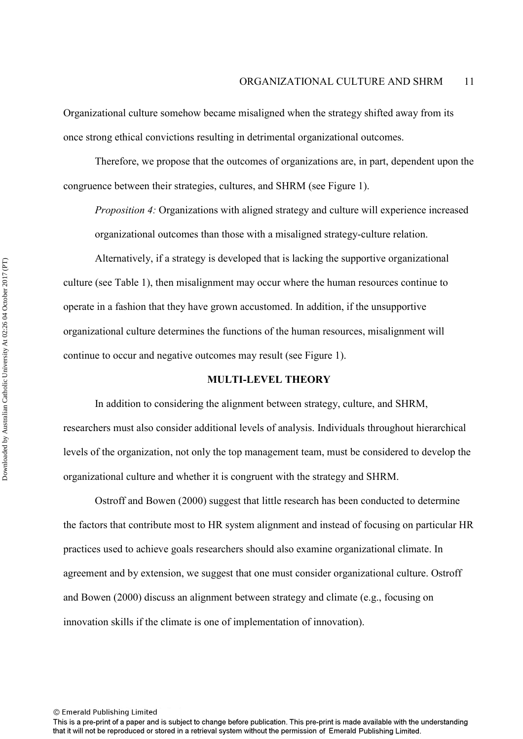Organizational culture somehow became misaligned when the strategy shifted away from its once strong ethical convictions resulting in detrimental organizational outcomes.

Therefore, we propose that the outcomes of organizations are, in part, dependent upon the congruence between their strategies, cultures, and SHRM (see Figure 1).

*Proposition 4:* Organizations with aligned strategy and culture will experience increased organizational outcomes than those with a misaligned strategy-culture relation.

Alternatively, if a strategy is developed that is lacking the supportive organizational culture (see Table 1), then misalignment may occur where the human resources continue to operate in a fashion that they have grown accustomed. In addition, if the unsupportive organizational culture determines the functions of the human resources, misalignment will continue to occur and negative outcomes may result (see Figure 1).

#### **MULTI-LEVEL THEORY**

In addition to considering the alignment between strategy, culture, and SHRM, researchers must also consider additional levels of analysis. Individuals throughout hierarchical levels of the organization, not only the top management team, must be considered to develop the organizational culture and whether it is congruent with the strategy and SHRM.

Ostroff and Bowen (2000) suggest that little research has been conducted to determine the factors that contribute most to HR system alignment and instead of focusing on particular HR practices used to achieve goals researchers should also examine organizational climate. In agreement and by extension, we suggest that one must consider organizational culture. Ostroff and Bowen (2000) discuss an alignment between strategy and climate (e.g., focusing on innovation skills if the climate is one of implementation of innovation).

This is a pre-print of a paper and is subject to change before publication. This pre-print is made available with the understanding that it will not be reproduced or stored in a retrieval system without the permission of Emerald Publishing Limited.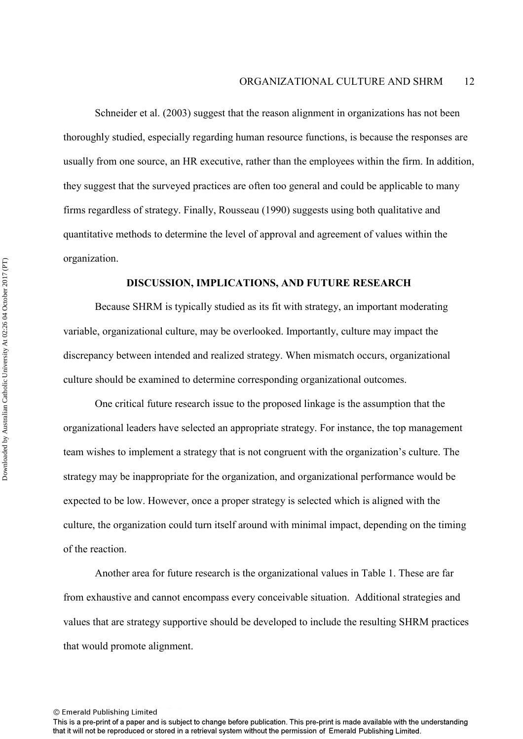Schneider et al. (2003) suggest that the reason alignment in organizations has not been thoroughly studied, especially regarding human resource functions, is because the responses are usually from one source, an HR executive, rather than the employees within the firm. In addition, they suggest that the surveyed practices are often too general and could be applicable to many firms regardless of strategy. Finally, Rousseau (1990) suggests using both qualitative and quantitative methods to determine the level of approval and agreement of values within the organization.

#### **DISCUSSION, IMPLICATIONS, AND FUTURE RESEARCH**

 Because SHRM is typically studied as its fit with strategy, an important moderating variable, organizational culture, may be overlooked. Importantly, culture may impact the discrepancy between intended and realized strategy. When mismatch occurs, organizational culture should be examined to determine corresponding organizational outcomes.

 One critical future research issue to the proposed linkage is the assumption that the organizational leaders have selected an appropriate strategy. For instance, the top management team wishes to implement a strategy that is not congruent with the organization's culture. The strategy may be inappropriate for the organization, and organizational performance would be expected to be low. However, once a proper strategy is selected which is aligned with the culture, the organization could turn itself around with minimal impact, depending on the timing of the reaction.

Another area for future research is the organizational values in Table 1. These are far from exhaustive and cannot encompass every conceivable situation. Additional strategies and values that are strategy supportive should be developed to include the resulting SHRM practices that would promote alignment.

<sup>©</sup> Emerald Publishing Limited

This is a pre-print of a paper and is subject to change before publication. This pre-print is made available with the understanding that it will not be reproduced or stored in a retrieval system without the permission of Emerald Publishing Limited.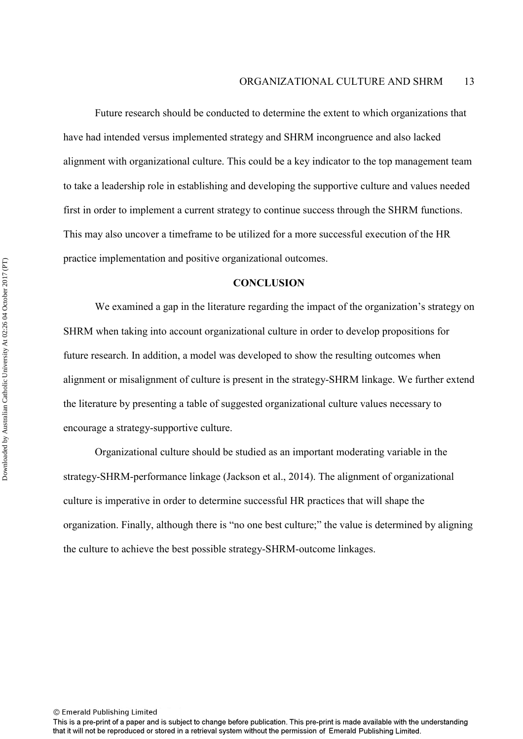Future research should be conducted to determine the extent to which organizations that have had intended versus implemented strategy and SHRM incongruence and also lacked alignment with organizational culture. This could be a key indicator to the top management team to take a leadership role in establishing and developing the supportive culture and values needed first in order to implement a current strategy to continue success through the SHRM functions. This may also uncover a timeframe to be utilized for a more successful execution of the HR practice implementation and positive organizational outcomes.

#### **CONCLUSION**

We examined a gap in the literature regarding the impact of the organization's strategy on SHRM when taking into account organizational culture in order to develop propositions for future research. In addition, a model was developed to show the resulting outcomes when alignment or misalignment of culture is present in the strategy-SHRM linkage. We further extend the literature by presenting a table of suggested organizational culture values necessary to encourage a strategy-supportive culture.

Organizational culture should be studied as an important moderating variable in the strategy-SHRM-performance linkage (Jackson et al., 2014). The alignment of organizational culture is imperative in order to determine successful HR practices that will shape the organization. Finally, although there is "no one best culture;" the value is determined by aligning the culture to achieve the best possible strategy-SHRM-outcome linkages.

This is a pre-print of a paper and is subject to change before publication. This pre-print is made available with the understanding that it will not be reproduced or stored in a retrieval system without the permission of Emerald Publishing Limited.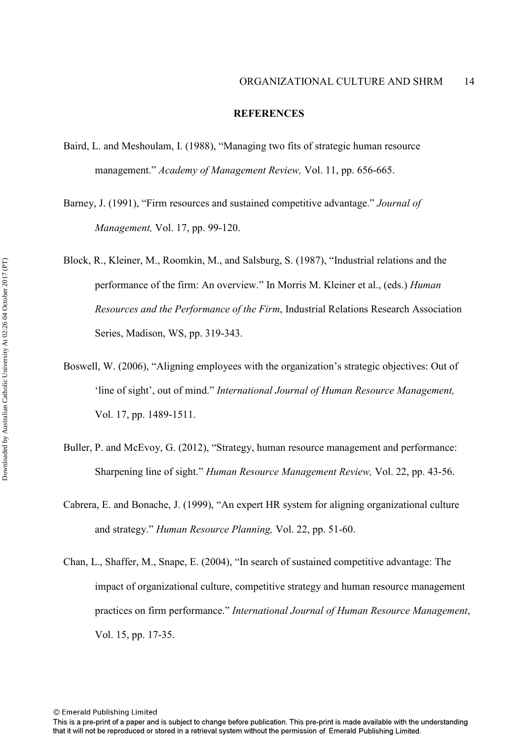#### **REFERENCES**

- Baird, L. and Meshoulam, I. (1988), "Managing two fits of strategic human resource management." *Academy of Management Review,* Vol. 11, pp. 656-665.
- Barney, J. (1991), "Firm resources and sustained competitive advantage." *Journal of Management,* Vol. 17, pp. 99-120.
- Block, R., Kleiner, M., Roomkin, M., and Salsburg, S. (1987), "Industrial relations and the performance of the firm: An overview." In Morris M. Kleiner et al., (eds.) *Human Resources and the Performance of the Firm*, Industrial Relations Research Association Series, Madison, WS, pp. 319-343.
- Boswell, W. (2006), "Aligning employees with the organization's strategic objectives: Out of 'line of sight', out of mind." *International Journal of Human Resource Management,* Vol. 17, pp. 1489-1511.
- Buller, P. and McEvoy, G. (2012), "Strategy, human resource management and performance: Sharpening line of sight." *Human Resource Management Review,* Vol. 22, pp. 43-56.
- Cabrera, E. and Bonache, J. (1999), "An expert HR system for aligning organizational culture and strategy." *Human Resource Planning,* Vol. 22, pp. 51-60.
- Chan, L., Shaffer, M., Snape, E. (2004), "In search of sustained competitive advantage: The impact of organizational culture, competitive strategy and human resource management practices on firm performance." *International Journal of Human Resource Management*, Vol. 15, pp. 17-35.

This is a pre-print of a paper and is subject to change before publication. This pre-print is made available with the understanding that it will not be reproduced or stored in a retrieval system without the permission of Emerald Publishing Limited.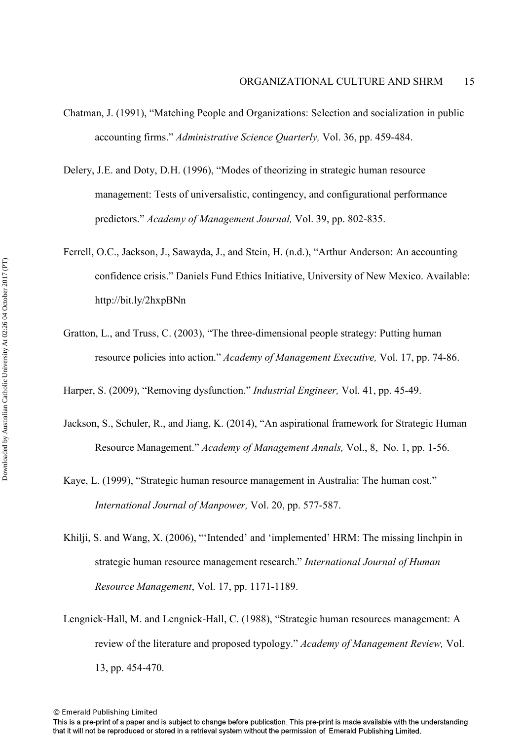- Chatman, J. (1991), "Matching People and Organizations: Selection and socialization in public accounting firms." *Administrative Science Quarterly,* Vol. 36, pp. 459-484.
- Delery, J.E. and Doty, D.H. (1996), "Modes of theorizing in strategic human resource management: Tests of universalistic, contingency, and configurational performance predictors." *Academy of Management Journal,* Vol. 39, pp. 802-835.
- Ferrell, O.C., Jackson, J., Sawayda, J., and Stein, H. (n.d.), "Arthur Anderson: An accounting confidence crisis." Daniels Fund Ethics Initiative, University of New Mexico. Available: http://bit.ly/2hxpBNn
- Gratton, L., and Truss, C. (2003), "The three-dimensional people strategy: Putting human resource policies into action." *Academy of Management Executive,* Vol. 17, pp. 74-86.

Harper, S. (2009), "Removing dysfunction." *Industrial Engineer,* Vol. 41, pp. 45-49.

- Jackson, S., Schuler, R., and Jiang, K. (2014), "An aspirational framework for Strategic Human Resource Management." *Academy of Management Annals,* Vol., 8, No. 1, pp. 1-56.
- Kaye, L. (1999), "Strategic human resource management in Australia: The human cost." *International Journal of Manpower,* Vol. 20, pp. 577-587.
- Khilji, S. and Wang, X. (2006), "'Intended' and 'implemented' HRM: The missing linchpin in strategic human resource management research." *International Journal of Human Resource Management*, Vol. 17, pp. 1171-1189.
- Lengnick-Hall, M. and Lengnick-Hall, C. (1988), "Strategic human resources management: A review of the literature and proposed typology." *Academy of Management Review,* Vol. 13, pp. 454-470.

This is a pre-print of a paper and is subject to change before publication. This pre-print is made available with the understanding that it will not be reproduced or stored in a retrieval system without the permission of Emerald Publishing Limited.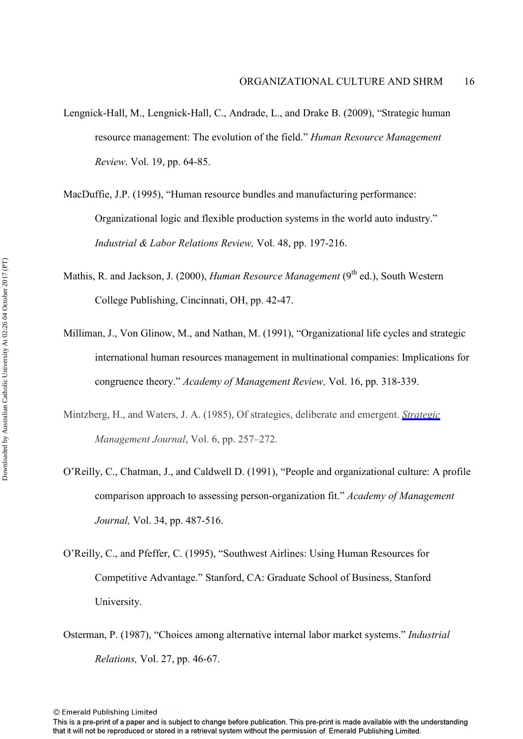- Lengnick-Hall, M., Lengnick-Hall, C., Andrade, L., and Drake B. (2009), "Strategic human resource management: The evolution of the field." *Human Resource Management Review*. Vol. 19, pp. 64-85.
- MacDuffie, J.P. (1995), "Human resource bundles and manufacturing performance: Organizational logic and flexible production systems in the world auto industry." *Industrial & Labor Relations Review,* Vol. 48, pp. 197-216.
- Mathis, R. and Jackson, J. (2000), *Human Resource Management* (9<sup>th</sup> ed.), South Western College Publishing, Cincinnati, OH, pp. 42-47.
- Milliman, J., Von Glinow, M., and Nathan, M. (1991), "Organizational life cycles and strategic international human resources management in multinational companies: Implications for congruence theory." *Academy of Management Review,* Vol. 16, pp. 318-339.
- Mintzberg, H., and Waters, J. A. (1985), Of strategies, deliberate and emergent. *[Strategic](http://www.emeraldinsight.com/action/showLinks?doi=10.1108%2FJMD-12-2016-0335&crossref=10.1002%2Fsmj.4250060306&citationId=p_49)  Management Journal*, Vol. 6, pp. 257–272.
- O'Reilly, C., Chatman, J., and Caldwell D. (1991), "People and organizational culture: A profile comparison approach to assessing person-organization fit." *Academy of Management Journal,* Vol. 34, pp. 487-516.
- O'Reilly, C., and Pfeffer, C. (1995), "Southwest Airlines: Using Human Resources for Competitive Advantage." Stanford, CA: Graduate School of Business, Stanford University.
- Osterman, P. (1987), "Choices among alternative internal labor market systems." *Industrial Relations,* Vol. 27, pp. 46-67.

This is a pre-print of a paper and is subject to change before publication. This pre-print is made available with the understanding that it will not be reproduced or stored in a retrieval system without the permission of Emerald Publishing Limited.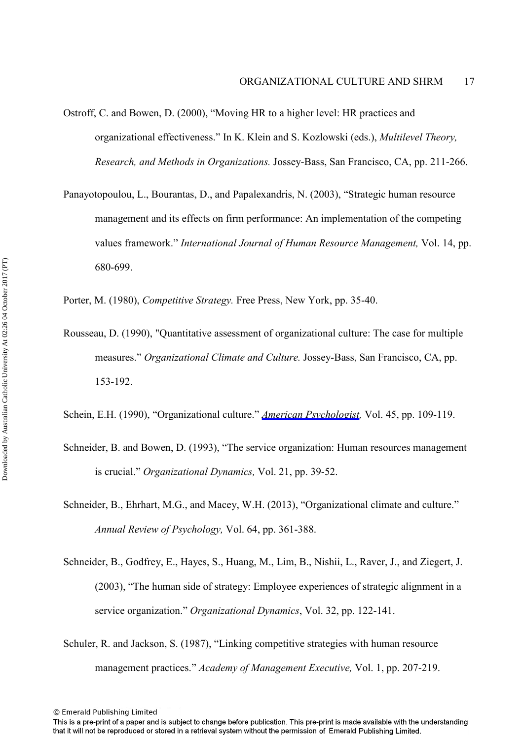- Ostroff, C. and Bowen, D. (2000), "Moving HR to a higher level: HR practices and organizational effectiveness." In K. Klein and S. Kozlowski (eds.), *Multilevel Theory, Research, and Methods in Organizations.* Jossey-Bass, San Francisco, CA, pp. 211-266.
- Panayotopoulou, L., Bourantas, D., and Papalexandris, N. (2003), "Strategic human resource management and its effects on firm performance: An implementation of the competing values framework." *International Journal of Human Resource Management,* Vol. 14, pp. 680-699.

Porter, M. (1980), *Competitive Strategy.* Free Press, New York, pp. 35-40.

- Rousseau, D. (1990), "Quantitative assessment of organizational culture: The case for multiple measures." *Organizational Climate and Culture.* Jossey-Bass, San Francisco, CA, pp. 153-192.
- Schein, E.H. (1990), "Organizational culture." *[American Psychologist,](http://www.emeraldinsight.com/action/showLinks?doi=10.1108%2FJMD-12-2016-0335&crossref=10.1037%2F0003-066X.45.2.109&citationId=p_70)* Vol. 45, pp. 109-119.
- Schneider, B. and Bowen, D. (1993), "The service organization: Human resources management is crucial." *Organizational Dynamics,* Vol. 21, pp. 39-52.
- Schneider, B., Ehrhart, M.G., and Macey, W.H. (2013), "Organizational climate and culture." *Annual Review of Psychology,* Vol. 64, pp. 361-388.
- Schneider, B., Godfrey, E., Hayes, S., Huang, M., Lim, B., Nishii, L., Raver, J., and Ziegert, J. (2003), "The human side of strategy: Employee experiences of strategic alignment in a service organization." *Organizational Dynamics*, Vol. 32, pp. 122-141.
- Schuler, R. and Jackson, S. (1987), "Linking competitive strategies with human resource management practices." *Academy of Management Executive,* Vol. 1, pp. 207-219.

This is a pre-print of a paper and is subject to change before publication. This pre-print is made available with the understanding that it will not be reproduced or stored in a retrieval system without the permission of Emerald Publishing Limited.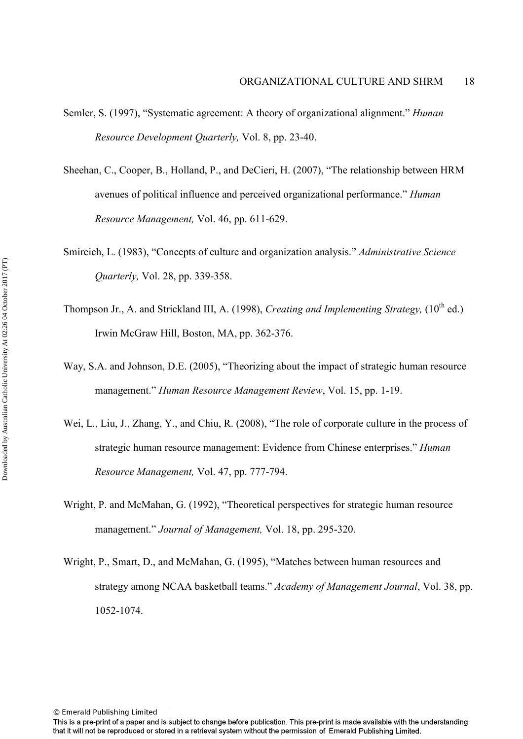- Semler, S. (1997), "Systematic agreement: A theory of organizational alignment." *Human Resource Development Quarterly,* Vol. 8, pp. 23-40.
- Sheehan, C., Cooper, B., Holland, P., and DeCieri, H. (2007), "The relationship between HRM avenues of political influence and perceived organizational performance." *Human Resource Management,* Vol. 46, pp. 611-629.
- Smircich, L. (1983), "Concepts of culture and organization analysis." *Administrative Science Quarterly,* Vol. 28, pp. 339-358.
- Thompson Jr., A. and Strickland III, A. (1998), *Creating and Implementing Strategy*, (10<sup>th</sup> ed.) Irwin McGraw Hill, Boston, MA, pp. 362-376.
- Way, S.A. and Johnson, D.E. (2005), "Theorizing about the impact of strategic human resource management." *Human Resource Management Review*, Vol. 15, pp. 1-19.
- Wei, L., Liu, J., Zhang, Y., and Chiu, R. (2008), "The role of corporate culture in the process of strategic human resource management: Evidence from Chinese enterprises." *Human Resource Management,* Vol. 47, pp. 777-794.
- Wright, P. and McMahan, G. (1992), "Theoretical perspectives for strategic human resource management." *Journal of Management,* Vol. 18, pp. 295-320.
- Wright, P., Smart, D., and McMahan, G. (1995), "Matches between human resources and strategy among NCAA basketball teams." *Academy of Management Journal*, Vol. 38, pp. 1052-1074.

This is a pre-print of a paper and is subject to change before publication. This pre-print is made available with the understanding that it will not be reproduced or stored in a retrieval system without the permission of Emerald Publishing Limited.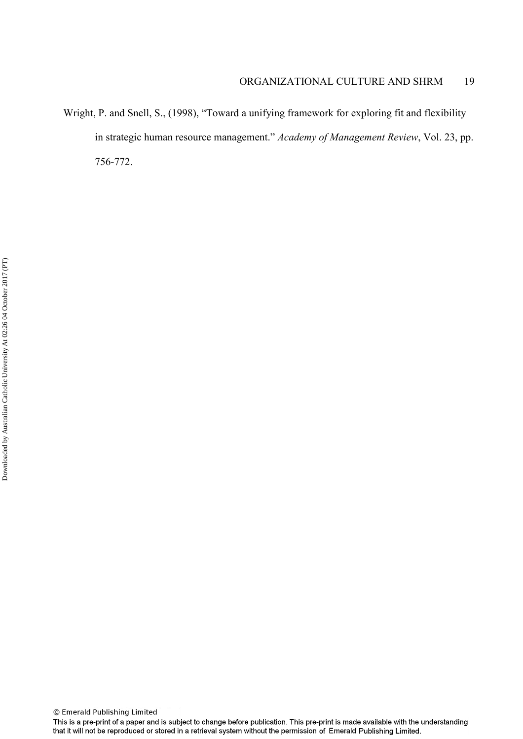Wright, P. and Snell, S., (1998), "Toward a unifying framework for exploring fit and flexibility in strategic human resource management." *Academy of Management Review*, Vol. 23, pp. 756-772.

This is a pre-print of a paper and is subject to change before publication. This pre-print is made available with the understanding that it will not be reproduced or stored in a retrieval system without the permission of Emerald Publishing Limited.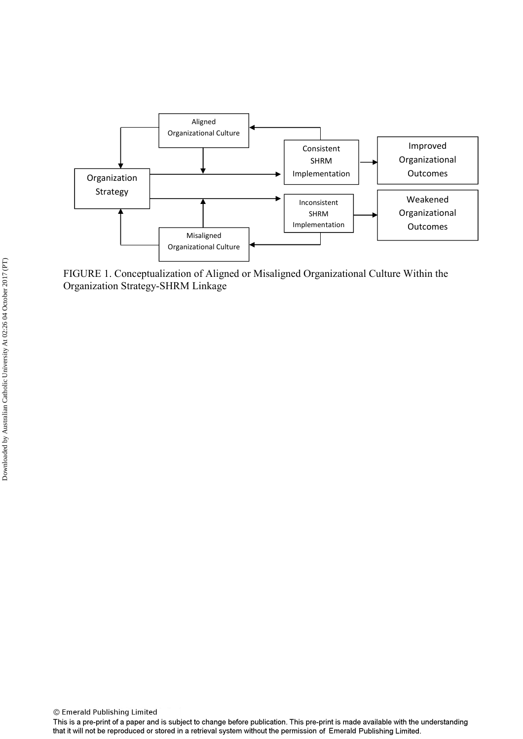

FIGURE 1. Conceptualization of Aligned or Misaligned Organizational Culture Within the Organization Strategy-SHRM Linkage

This is a pre-print of a paper and is subject to change before publication. This pre-print is made available with the understanding that it will not be reproduced or stored in a retrieval system without the permission of Emerald Publishing Limited.